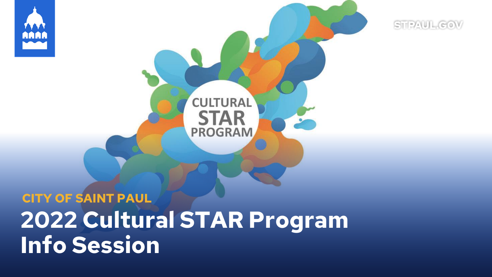

# **2022 Cultural STAR Program Info Session CITY OF SAINT PAUL**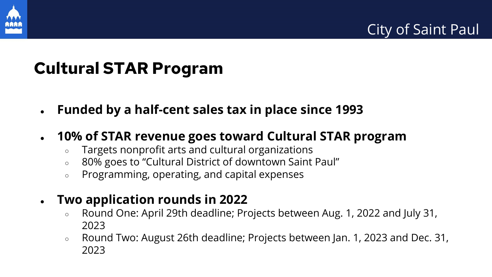

## **Cultural STAR Program**

- **Funded by a half-cent sales tax in place since 1993**
- **10% of STAR revenue goes toward Cultural STAR program**
	- Targets nonprofit arts and cultural organizations
	- 80% goes to "Cultural District of downtown Saint Paul"
	- Programming, operating, and capital expenses
- **Two application rounds in 2022**
	- Round One: April 29th deadline; Projects between Aug. 1, 2022 and July 31, 2023
	- Round Two: August 26th deadline; Projects between Jan. 1, 2023 and Dec. 31, 2023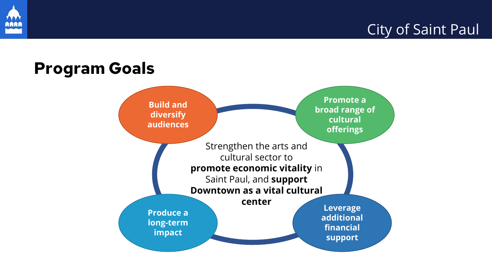

#### City of Saint Paul

#### **Program Goals Build and diversify audiences Promote a broad range of cultural offerings Produce a long-term impact Leverage additional financial support** Strengthen the arts and cultural sector to **promote economic vitality** in Saint Paul, and **support Downtown as a vital cultural center**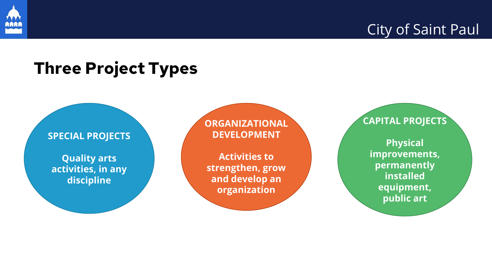

### **Three Project Types**

**SPECIAL PROJECTS**

**Quality arts activities, in any discipline**

**ORGANIZATIONAL DEVELOPMENT**

**Activities to strengthen, grow and develop an organization**

**CAPITAL PROJECTS**

**Physical improvements, permanently installed equipment, public art**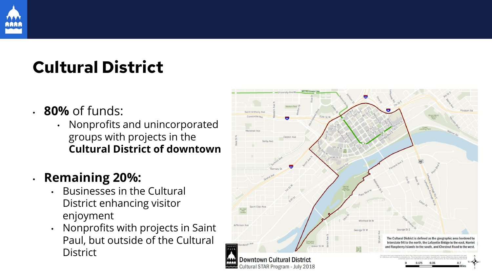

## **Cultural District**

- **80%** of funds:
	- Nonprofits and unincorporated groups with projects in the **Cultural District of downtown**

• **Remaining 20%:**

- Businesses in the Cultural District enhancing visitor enjoyment
- Nonprofits with projects in Saint Paul, but outside of the Cultural **District**

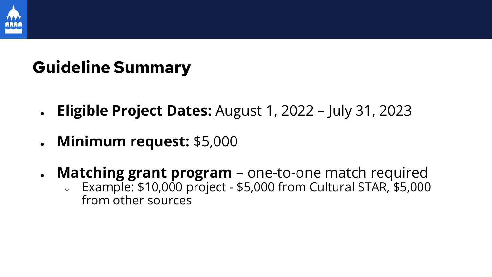

## **Guideline Summary**

- **Eligible Project Dates:** August 1, 2022 July 31, 2023
- **Minimum request:** \$5,000
- **Matching grant program** one-to-one match required
	- $\epsilon$  Example: \$10,000 project \$5,000 from Cultural STAR, \$5,000 from other sources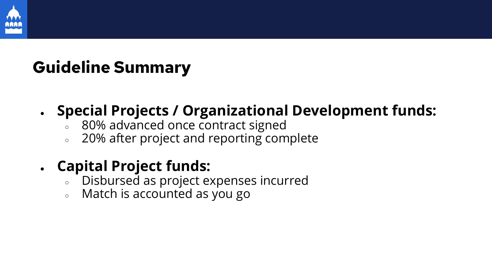

## **Guideline Summary**

#### ● **Special Projects / Organizational Development funds:**

- 80% advanced once contract signed
- 20% after project and reporting complete

#### ● **Capital Project funds:**

- Disbursed as project expenses incurred
- Match is accounted as you go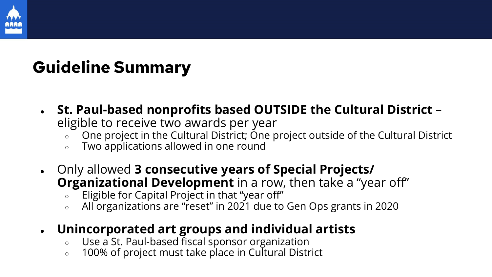

## **Guideline Summary**

- **St. Paul-based nonprofits based OUTSIDE the Cultural District** 
	- eligible to receive two awards per year
		- One project in the Cultural District; One project outside of the Cultural District
		- Two applications allowed in one round
- Only allowed **3 consecutive years of Special Projects/ Organizational Development** in a row, then take a "year off"
	- $\circ$  Eligible for Capital Project in that "year off"
	- $\circ$  All organizations are "reset" in 2021 due to Gen Ops grants in 2020
- **Unincorporated art groups and individual artists**
	- Use a St. Paul-based fiscal sponsor organization
	- 100% of project must take place in Cultural District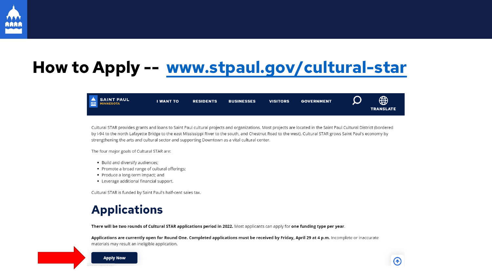

## **How to Apply -- [www.stpaul.gov/cultural-star](http://www.stpaul.gov/cultural-star)**



Cultural STAR provides grants and loans to Saint Paul cultural projects and organizations. Most projects are located in the Saint Paul Cultural District (bordered by I-94 to the north Lafayette Bridge to the east Mississippi River to the south, and Chestnut Road to the west). Cultural STAR grows Saint Paul's economy by strengthening the arts and cultural sector and supporting Downtown as a vital cultural center.

The four major goals of Cultural STAR are:

- Build and diversify audiences;
- Promote a broad range of cultural offerings;
- Produce a long-term impact; and
- Leverage additional financial support.

Cultural STAR is funded by Saint Paul's half-cent sales tax.

#### **Applications**

There will be two rounds of Cultural STAR applications period in 2022. Most applicants can apply for one funding type per year.

Applications are currently open for Round One. Completed applications must be received by Friday, April 29 at 4 p.m. Incomplete or inaccurate materials may result an ineligible application.



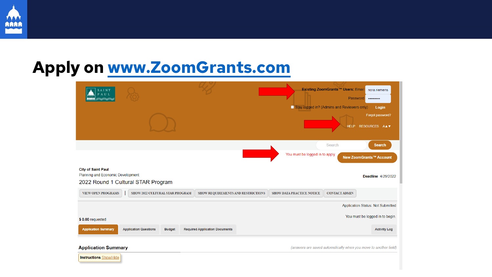

#### **Apply on [www.ZoomGrants.com](http://www.zoomgrants.com/)**

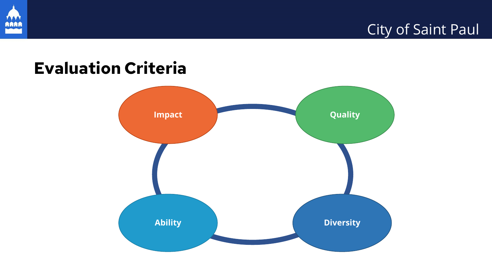

#### City of Saint Paul

## **Evaluation Criteria**

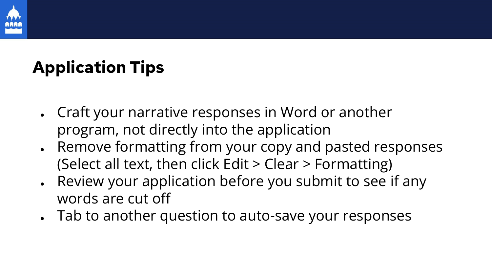

## **Application Tips**

- Craft your narrative responses in Word or another program, not directly into the application
- Remove formatting from your copy and pasted responses (Select all text, then click Edit > Clear > Formatting)
- Review your application before you submit to see if any words are cut off
- Tab to another question to auto-save your responses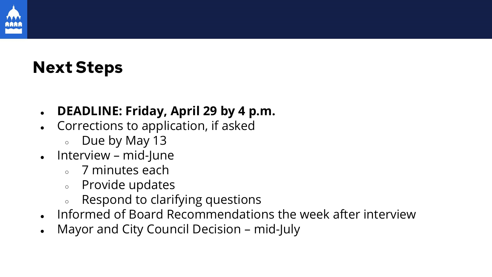

## **Next Steps**

#### ● **DEADLINE: Friday, April 29 by 4 p.m.**

- Corrections to application, if asked
	- Due by May 13
- $\bullet$  Interview mid-June
	- 7 minutes each
	- Provide updates
	- Respond to clarifying questions
- Informed of Board Recommendations the week after interview
- Mayor and City Council Decision mid-July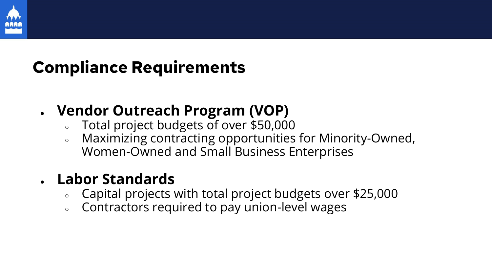

## **Compliance Requirements**

#### ● **Vendor Outreach Program (VOP)**

- Total project budgets of over \$50,000
- Maximizing contracting opportunities for Minority-Owned, Women-Owned and Small Business Enterprises

#### ● **Labor Standards**

- Capital projects with total project budgets over \$25,000
- Contractors required to pay union-level wages